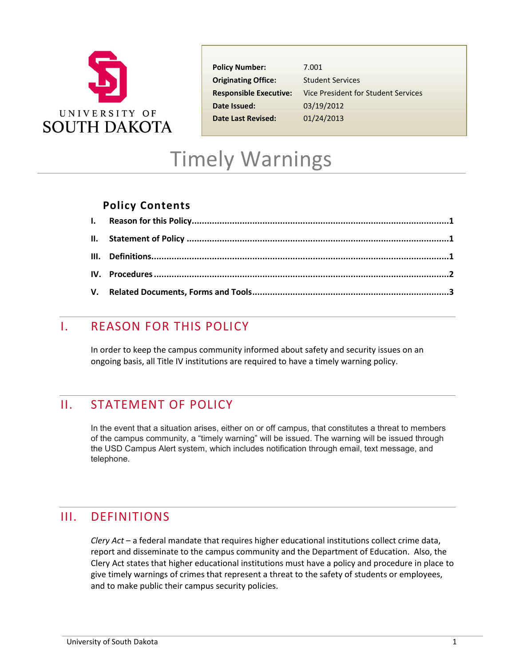

**Policy Number:** 7.001 **Originating Office:** Student Services **Date Issued:** 03/19/2012 **Date Last Revised:** 01/24/2013

**Responsible Executive:** Vice President for Student Services

# Timely Warnings

#### **Policy Contents**

### <span id="page-0-0"></span>I. REASON FOR THIS POLICY

In order to keep the campus community informed about safety and security issues on an ongoing basis, all Title IV institutions are required to have a timely warning policy.

#### <span id="page-0-1"></span>II. STATEMENT OF POLICY

In the event that a situation arises, either on or off campus, that constitutes a threat to members of the campus community, a "timely warning" will be issued. The warning will be issued through the USD Campus Alert system, which includes notification through email, text message, and telephone.

# <span id="page-0-2"></span>III. DEFINITIONS

*Clery Act* – a federal mandate that requires higher educational institutions collect crime data, report and disseminate to the campus community and the Department of Education. Also, the Clery Act states that higher educational institutions must have a policy and procedure in place to give timely warnings of crimes that represent a threat to the safety of students or employees, and to make public their campus security policies.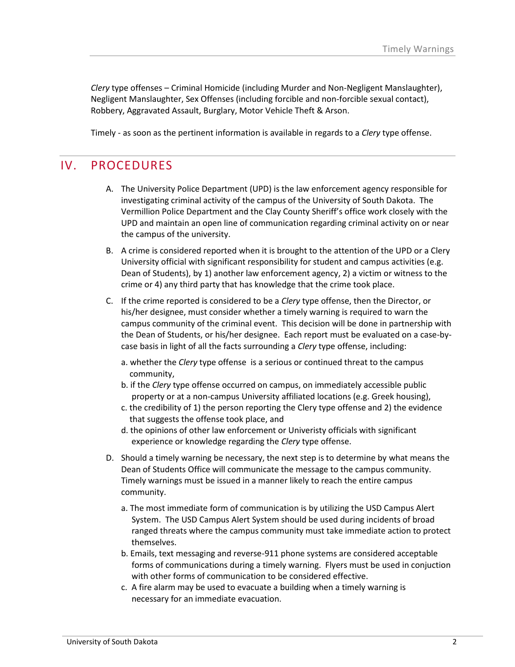*Clery* type offenses – Criminal Homicide (including Murder and Non-Negligent Manslaughter), Negligent Manslaughter, Sex Offenses (including forcible and non-forcible sexual contact), Robbery, Aggravated Assault, Burglary, Motor Vehicle Theft & Arson.

Timely - as soon as the pertinent information is available in regards to a *Clery* type offense.

### <span id="page-1-0"></span>IV. PROCEDURES

- A. The University Police Department (UPD) is the law enforcement agency responsible for investigating criminal activity of the campus of the University of South Dakota. The Vermillion Police Department and the Clay County Sheriff's office work closely with the UPD and maintain an open line of communication regarding criminal activity on or near the campus of the university.
- B. A crime is considered reported when it is brought to the attention of the UPD or a Clery University official with significant responsibility for student and campus activities (e.g. Dean of Students), by 1) another law enforcement agency, 2) a victim or witness to the crime or 4) any third party that has knowledge that the crime took place.
- C. If the crime reported is considered to be a *Clery* type offense, then the Director, or his/her designee, must consider whether a timely warning is required to warn the campus community of the criminal event. This decision will be done in partnership with the Dean of Students, or his/her designee. Each report must be evaluated on a case-bycase basis in light of all the facts surrounding a *Clery* type offense, including:
	- a. whether the *Clery* type offense is a serious or continued threat to the campus community,
	- b. if the *Clery* type offense occurred on campus, on immediately accessible public property or at a non-campus University affiliated locations (e.g. Greek housing),
	- c. the credibility of 1) the person reporting the Clery type offense and 2) the evidence that suggests the offense took place, and
	- d. the opinions of other law enforcement or Univeristy officials with significant experience or knowledge regarding the *Clery* type offense.
- D. Should a timely warning be necessary, the next step is to determine by what means the Dean of Students Office will communicate the message to the campus community. Timely warnings must be issued in a manner likely to reach the entire campus community.
	- a. The most immediate form of communication is by utilizing the USD Campus Alert System. The USD Campus Alert System should be used during incidents of broad ranged threats where the campus community must take immediate action to protect themselves.
	- b. Emails, text messaging and reverse-911 phone systems are considered acceptable forms of communications during a timely warning. Flyers must be used in conjuction with other forms of communication to be considered effective.
	- c. A fire alarm may be used to evacuate a building when a timely warning is necessary for an immediate evacuation.